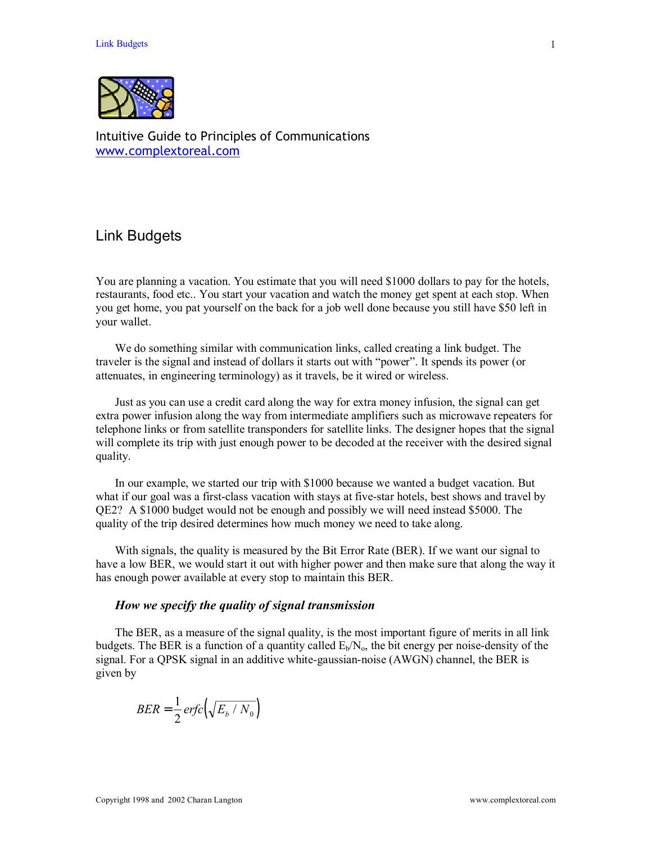

Intuitive Guide to Principles of Communications www.complextoreal.com

# Link Budgets

You are planning a vacation. You estimate that you will need \$1000 dollars to pay for the hotels, restaurants, food etc.. You start your vacation and watch the money get spent at each stop. When you get home, you pat yourself on the back for a job well done because you still have \$50 left in your wallet.

 We do something similar with communication links, called creating a link budget. The traveler is the signal and instead of dollars it starts out with "power". It spends its power (or attenuates, in engineering terminology) as it travels, be it wired or wireless.

 Just as you can use a credit card along the way for extra money infusion, the signal can get extra power infusion along the way from intermediate amplifiers such as microwave repeaters for telephone links or from satellite transponders for satellite links. The designer hopes that the signal will complete its trip with just enough power to be decoded at the receiver with the desired signal quality.

 In our example, we started our trip with \$1000 because we wanted a budget vacation. But what if our goal was a first-class vacation with stays at five-star hotels, best shows and travel by QE2? A \$1000 budget would not be enough and possibly we will need instead \$5000. The quality of the trip desired determines how much money we need to take along.

 With signals, the quality is measured by the Bit Error Rate (BER). If we want our signal to have a low BER, we would start it out with higher power and then make sure that along the way it has enough power available at every stop to maintain this BER.

### *How we specify the quality of signal transmission*

 The BER, as a measure of the signal quality, is the most important figure of merits in all link budgets. The BER is a function of a quantity called  $E_b/N_o$ , the bit energy per noise-density of the signal. For a QPSK signal in an additive white-gaussian-noise (AWGN) channel, the BER is given by

$$
BER = \frac{1}{2} \, erfc\left(\sqrt{E_b / N_0}\right)
$$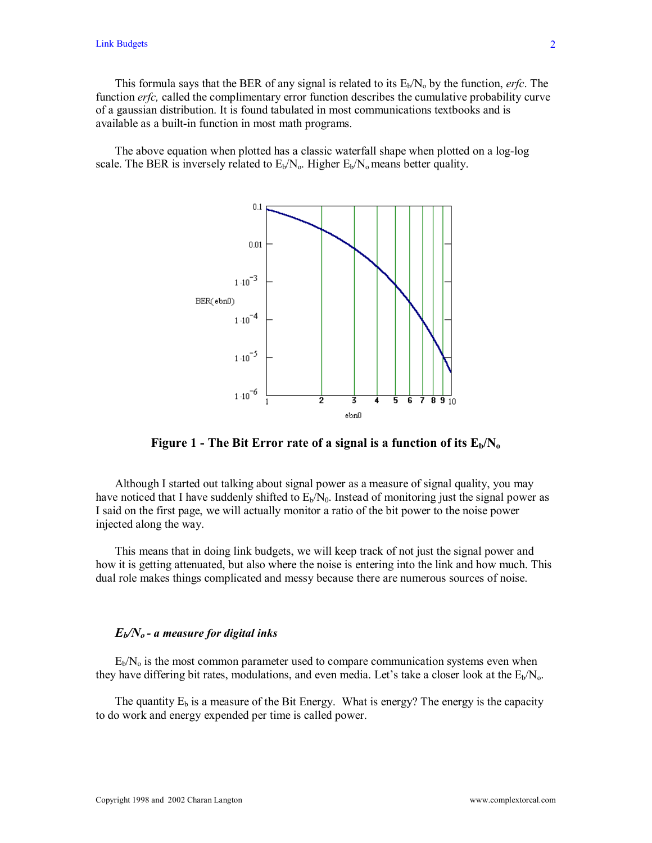This formula says that the BER of any signal is related to its  $E_b/N_a$  by the function, *erfc*. The function *erfc*, called the complimentary error function describes the cumulative probability curve of a gaussian distribution. It is found tabulated in most communications textbooks and is available as a built-in function in most math programs.

 The above equation when plotted has a classic waterfall shape when plotted on a log-log scale. The BER is inversely related to  $E_b/N_o$ . Higher  $E_b/N_o$  means better quality.



**Figure 1 - The Bit Error rate of a signal is a function of its**  $E_b/N_o$ 

 Although I started out talking about signal power as a measure of signal quality, you may have noticed that I have suddenly shifted to  $E<sub>b</sub>/N<sub>0</sub>$ . Instead of monitoring just the signal power as I said on the first page, we will actually monitor a ratio of the bit power to the noise power injected along the way.

 This means that in doing link budgets, we will keep track of not just the signal power and how it is getting attenuated, but also where the noise is entering into the link and how much. This dual role makes things complicated and messy because there are numerous sources of noise.

### *Eb/No - a measure for digital inks*

 $E_b/N_o$  is the most common parameter used to compare communication systems even when they have differing bit rates, modulations, and even media. Let's take a closer look at the  $E_b/N_o$ .

The quantity  $E_b$  is a measure of the Bit Energy. What is energy? The energy is the capacity to do work and energy expended per time is called power.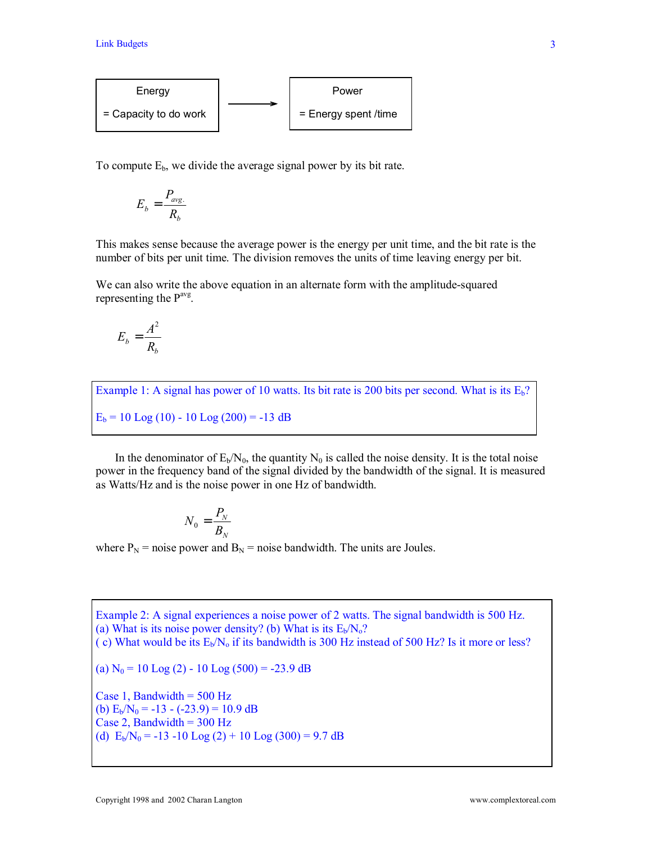

To compute  $E_b$ , we divide the average signal power by its bit rate.

$$
E_b = \frac{P_{\text{avg.}}}{R_b}
$$

This makes sense because the average power is the energy per unit time, and the bit rate is the number of bits per unit time. The division removes the units of time leaving energy per bit.

We can also write the above equation in an alternate form with the amplitude-squared representing the  $P<sup>avg</sup>$ .

$$
E_b = \frac{A^2}{R_b}
$$

Example 1: A signal has power of 10 watts. Its bit rate is 200 bits per second. What is its  $E_b$ ?  $E_b = 10$  Log (10) - 10 Log (200) = -13 dB

In the denominator of  $E_b/N_0$ , the quantity N<sub>0</sub> is called the noise density. It is the total noise power in the frequency band of the signal divided by the bandwidth of the signal. It is measured as Watts/Hz and is the noise power in one Hz of bandwidth.

$$
N_0 = \frac{P_N}{B_N}
$$

where  $P_N$  = noise power and  $B_N$  = noise bandwidth. The units are Joules.

Example 2: A signal experiences a noise power of 2 watts. The signal bandwidth is 500 Hz. (a) What is its noise power density? (b) What is its  $E_b/N_0$ ? (c) What would be its  $E_b/N_o$  if its bandwidth is 300 Hz instead of 500 Hz? Is it more or less? (a)  $N_0 = 10$  Log (2) - 10 Log (500) = -23.9 dB Case 1, Bandwidth  $= 500$  Hz (b)  $E_b/N_0 = -13 - (-23.9) = 10.9$  dB Case 2, Bandwidth =  $300$  Hz (d)  $E_b/N_0 = -13 -10 \text{ Log } (2) + 10 \text{ Log } (300) = 9.7 \text{ dB}$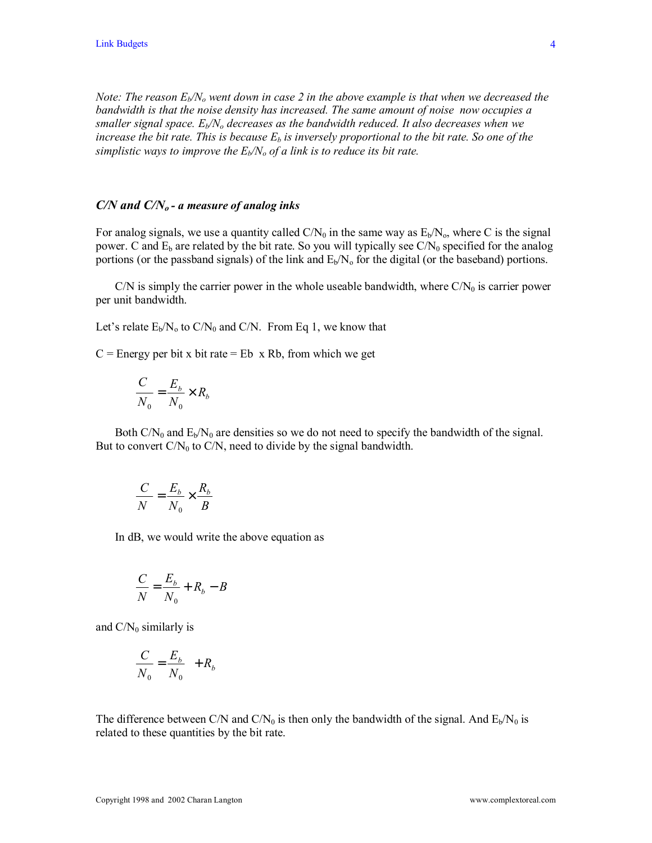*Note: The reason*  $E_b/N_o$  *went down in case 2 in the above example is that when we decreased the bandwidth is that the noise density has increased. The same amount of noise now occupies a smaller signal space.*  $E_b/N_o$  decreases as the bandwidth reduced. It also decreases when we *increase the bit rate. This is because*  $E_b$  *is inversely proportional to the bit rate. So one of the simplistic ways to improve the*  $E_b/N_o$  *of a link is to reduce its bit rate.* 

#### *C/N and C/No - a measure of analog inks*

For analog signals, we use a quantity called  $C/N_0$  in the same way as  $E_b/N_0$ , where C is the signal power. C and  $E_b$  are related by the bit rate. So you will typically see  $C/N_0$  specified for the analog portions (or the passband signals) of the link and  $E_b/N_o$  for the digital (or the baseband) portions.

C/N is simply the carrier power in the whole useable bandwidth, where  $C/N_0$  is carrier power per unit bandwidth.

Let's relate  $E_b/N_o$  to  $C/N_0$  and  $C/N$ . From Eq 1, we know that

 $C$  = Energy per bit x bit rate = Eb x Rb, from which we get

$$
\frac{C}{N_0} = \frac{E_b}{N_0} \times R_b
$$

Both  $CN_0$  and  $E_b/N_0$  are densities so we do not need to specify the bandwidth of the signal. But to convert  $C/N_0$  to  $C/N$ , need to divide by the signal bandwidth.

$$
\frac{C}{N} = \frac{E_b}{N_0} \times \frac{R_b}{B}
$$

In dB, we would write the above equation as

$$
\frac{C}{N} = \frac{E_b}{N_0} + R_b - B
$$

and  $C/N_0$  similarly is

$$
\frac{C}{N_0} = \frac{E_b}{N_0} + R_b
$$

The difference between C/N and C/N<sub>0</sub> is then only the bandwidth of the signal. And  $E<sub>b</sub>/N<sub>0</sub>$  is related to these quantities by the bit rate.

4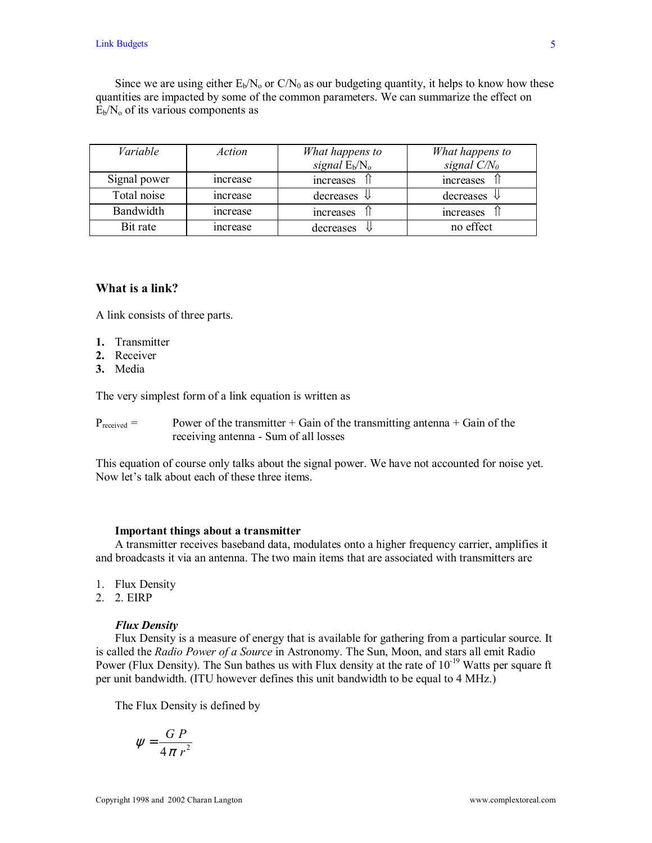Since we are using either  $E_b/N_o$  or  $C/N_0$  as our budgeting quantity, it helps to know how these quantities are impacted by some of the common parameters. We can summarize the effect on  $E_b/N_o$  of its various components as

| Variable     | Action   | What happens to<br>What happens to |                        |
|--------------|----------|------------------------------------|------------------------|
|              |          | signal $E_b/N_o$                   | signal $C/N_0$         |
| Signal power | increase | increases                          | increases              |
| Total noise  | increase | decreases<br>₩                     | decreases $\Downarrow$ |
| Bandwidth    | increase | increases                          | increases              |
| Bit rate     | increase | decreases                          | no effect              |

# **What is a link?**

A link consists of three parts.

- **1.** Transmitter
- **2.** Receiver
- **3.** Media

The very simplest form of a link equation is written as

 $P_{received}$  = Power of the transmitter + Gain of the transmitting antenna + Gain of the receiving antenna - Sum of all losses

This equation of course only talks about the signal power. We have not accounted for noise yet. Now let's talk about each of these three items.

#### **Important things about a transmitter**

 A transmitter receives baseband data, modulates onto a higher frequency carrier, amplifies it and broadcasts it via an antenna. The two main items that are associated with transmitters are

- 1. Flux Density
- 2. 2. EIRP

#### *Flux Density*

 Flux Density is a measure of energy that is available for gathering from a particular source. It is called the *Radio Power of a Source* in Astronomy. The Sun, Moon, and stars all emit Radio Power (Flux Density). The Sun bathes us with Flux density at the rate of  $10^{-19}$  Watts per square ft per unit bandwidth. (ITU however defines this unit bandwidth to be equal to 4 MHz.)

The Flux Density is defined by

$$
\psi = \frac{G P}{4 \pi r^2}
$$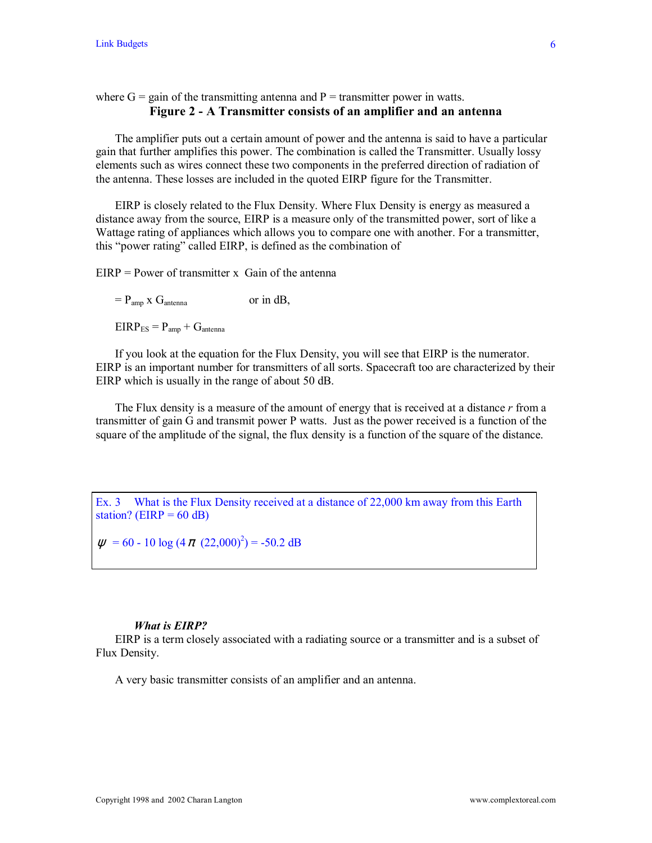# where  $G =$  gain of the transmitting antenna and  $P =$  transmitter power in watts. **Figure 2 - A Transmitter consists of an amplifier and an antenna**

 The amplifier puts out a certain amount of power and the antenna is said to have a particular gain that further amplifies this power. The combination is called the Transmitter. Usually lossy elements such as wires connect these two components in the preferred direction of radiation of the antenna. These losses are included in the quoted EIRP figure for the Transmitter.

 EIRP is closely related to the Flux Density. Where Flux Density is energy as measured a distance away from the source, EIRP is a measure only of the transmitted power, sort of like a Wattage rating of appliances which allows you to compare one with another. For a transmitter, this "power rating" called EIRP, is defined as the combination of

 $EIRP = Power of transmitter x$  Gain of the antenna

 $= P_{\text{amp}}$  x  $G_{\text{antenna}}$  or in dB,

 $EIRP_{ES} = P_{amp} + G_{antenna}$ 

 If you look at the equation for the Flux Density, you will see that EIRP is the numerator. EIRP is an important number for transmitters of all sorts. Spacecraft too are characterized by their EIRP which is usually in the range of about 50 dB.

 The Flux density is a measure of the amount of energy that is received at a distance *r* from a transmitter of gain G and transmit power P watts. Just as the power received is a function of the square of the amplitude of the signal, the flux density is a function of the square of the distance.

Ex. 3 What is the Flux Density received at a distance of 22,000 km away from this Earth station? (EIRP =  $60$  dB)

 $\psi$  = 60 - 10 log (4  $\pi$  (22,000)<sup>2</sup>) = -50.2 dB

### *What is EIRP?*

 EIRP is a term closely associated with a radiating source or a transmitter and is a subset of Flux Density.

A very basic transmitter consists of an amplifier and an antenna.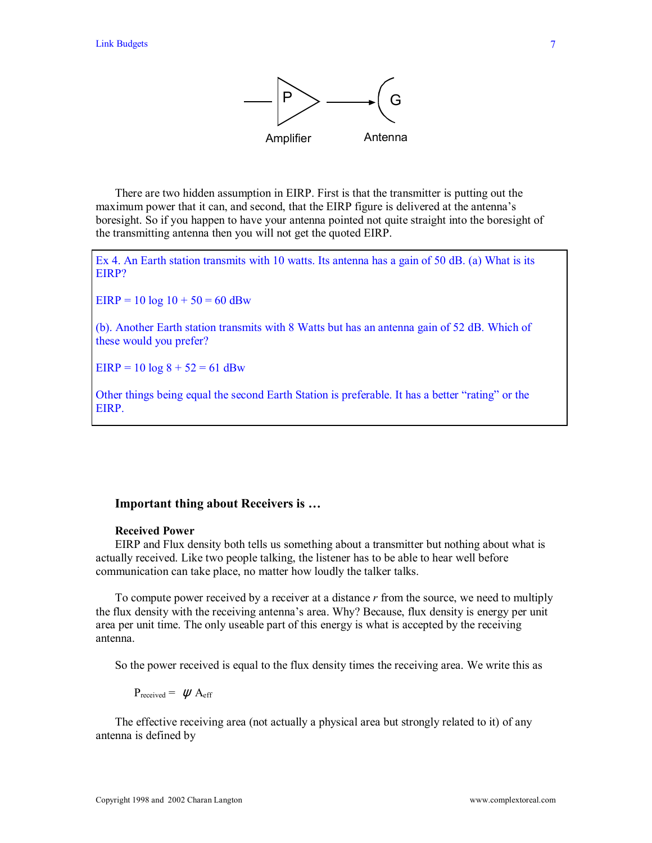

 There are two hidden assumption in EIRP. First is that the transmitter is putting out the maximum power that it can, and second, that the EIRP figure is delivered at the antenna's boresight. So if you happen to have your antenna pointed not quite straight into the boresight of the transmitting antenna then you will not get the quoted EIRP.

Ex 4. An Earth station transmits with 10 watts. Its antenna has a gain of 50 dB. (a) What is its EIRP?

 $EIRP = 10 log 10 + 50 = 60 dBw$ 

(b). Another Earth station transmits with 8 Watts but has an antenna gain of 52 dB. Which of these would you prefer?

 $EIRP = 10 \log 8 + 52 = 61 \text{ dBw}$ 

Other things being equal the second Earth Station is preferable. It has a better "rating" or the EIRP.

## **Important thing about Receivers is ...**

#### **Received Power**

 EIRP and Flux density both tells us something about a transmitter but nothing about what is actually received. Like two people talking, the listener has to be able to hear well before communication can take place, no matter how loudly the talker talks.

 To compute power received by a receiver at a distance *r* from the source, we need to multiply the flux density with the receiving antennaís area. Why? Because, flux density is energy per unit area per unit time. The only useable part of this energy is what is accepted by the receiving antenna.

So the power received is equal to the flux density times the receiving area. We write this as

 $P_{received} = \psi A_{eff}$ 

 The effective receiving area (not actually a physical area but strongly related to it) of any antenna is defined by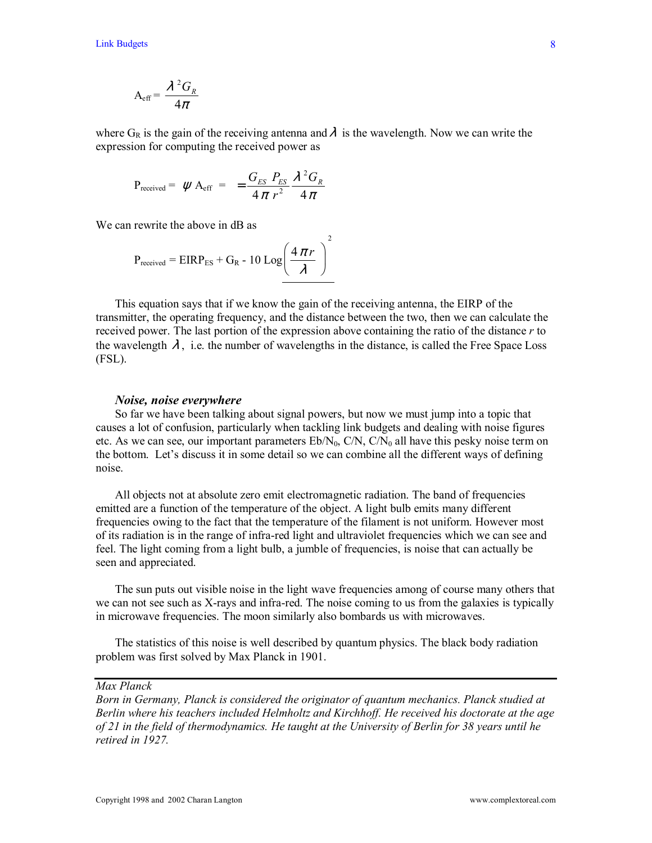$$
A_{\text{eff}} = \frac{\lambda^2 G_R}{4\pi}
$$

where  $G_R$  is the gain of the receiving antenna and  $\lambda$  is the wavelength. Now we can write the expression for computing the received power as

$$
P_{\text{received}} = \psi A_{\text{eff}} = \frac{G_{ES} P_{ES}}{4 \pi r^2} \frac{\lambda^2 G_R}{4 \pi}
$$

We can rewrite the above in dB as

$$
P_{\text{received}} = EIRP_{ES} + G_R - 10 \text{ Log}\left(\frac{4 \pi r}{\lambda}\right)
$$

 This equation says that if we know the gain of the receiving antenna, the EIRP of the transmitter, the operating frequency, and the distance between the two, then we can calculate the received power. The last portion of the expression above containing the ratio of the distance *r* to the wavelength  $\lambda$ , i.e. the number of wavelengths in the distance, is called the Free Space Loss (FSL).

 $\mathfrak{Z}$ 

#### *Noise, noise everywhere*

 So far we have been talking about signal powers, but now we must jump into a topic that causes a lot of confusion, particularly when tackling link budgets and dealing with noise figures etc. As we can see, our important parameters  $Eb/N_0$ ,  $C/N$ ,  $C/N_0$  all have this pesky noise term on the bottom. Let's discuss it in some detail so we can combine all the different ways of defining noise.

 All objects not at absolute zero emit electromagnetic radiation. The band of frequencies emitted are a function of the temperature of the object. A light bulb emits many different frequencies owing to the fact that the temperature of the filament is not uniform. However most of its radiation is in the range of infra-red light and ultraviolet frequencies which we can see and feel. The light coming from a light bulb, a jumble of frequencies, is noise that can actually be seen and appreciated.

 The sun puts out visible noise in the light wave frequencies among of course many others that we can not see such as X-rays and infra-red. The noise coming to us from the galaxies is typically in microwave frequencies. The moon similarly also bombards us with microwaves.

 The statistics of this noise is well described by quantum physics. The black body radiation problem was first solved by Max Planck in 1901.

# *Max Planck*

*Born in Germany, Planck is considered the originator of quantum mechanics. Planck studied at Berlin where his teachers included Helmholtz and Kirchhoff. He received his doctorate at the age of 21 in the field of thermodynamics. He taught at the University of Berlin for 38 years until he retired in 1927.*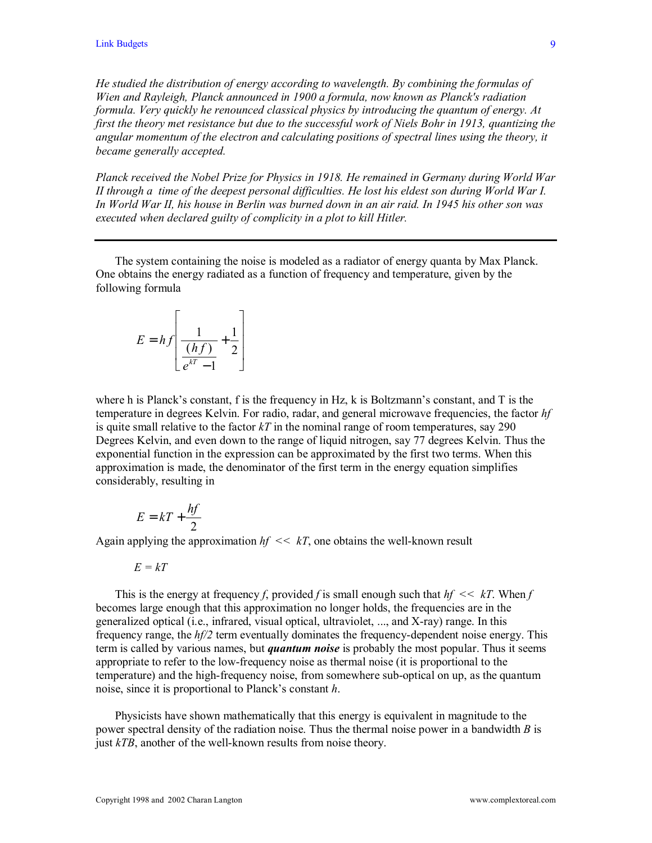*He studied the distribution of energy according to wavelength. By combining the formulas of Wien and Rayleigh, Planck announced in 1900 a formula, now known as Planck's radiation formula. Very quickly he renounced classical physics by introducing the quantum of energy. At first the theory met resistance but due to the successful work of Niels Bohr in 1913, quantizing the angular momentum of the electron and calculating positions of spectral lines using the theory, it became generally accepted.* 

*Planck received the Nobel Prize for Physics in 1918. He remained in Germany during World War II through a time of the deepest personal difficulties. He lost his eldest son during World War I. In World War II, his house in Berlin was burned down in an air raid. In 1945 his other son was executed when declared guilty of complicity in a plot to kill Hitler.* 

 The system containing the noise is modeled as a radiator of energy quanta by Max Planck. One obtains the energy radiated as a function of frequency and temperature, given by the following formula

$$
E = hf \left[ \frac{1}{\frac{(hf)}{e^{kT} - 1}} + \frac{1}{2} \right]
$$

where h is Planck's constant, f is the frequency in Hz, k is Boltzmann's constant, and  $T$  is the temperature in degrees Kelvin. For radio, radar, and general microwave frequencies, the factor *hf* is quite small relative to the factor  $kT$  in the nominal range of room temperatures, say 290 Degrees Kelvin, and even down to the range of liquid nitrogen, say 77 degrees Kelvin. Thus the exponential function in the expression can be approximated by the first two terms. When this approximation is made, the denominator of the first term in the energy equation simplifies considerably, resulting in

$$
E = kT + \frac{hf}{2}
$$

Again applying the approximation  $hf \ll kT$ , one obtains the well-known result

$$
E=kT
$$

 This is the energy at frequency *f*, provided *f* is small enough such that *hf << kT*. When *f* becomes large enough that this approximation no longer holds, the frequencies are in the generalized optical (i.e., infrared, visual optical, ultraviolet, ..., and X-ray) range. In this frequency range, the *hf/2* term eventually dominates the frequency-dependent noise energy. This term is called by various names, but *quantum noise* is probably the most popular. Thus it seems appropriate to refer to the low-frequency noise as thermal noise (it is proportional to the temperature) and the high-frequency noise, from somewhere sub-optical on up, as the quantum noise, since it is proportional to Planck's constant *h*.

 Physicists have shown mathematically that this energy is equivalent in magnitude to the power spectral density of the radiation noise. Thus the thermal noise power in a bandwidth *B* is just *kTB*, another of the well-known results from noise theory.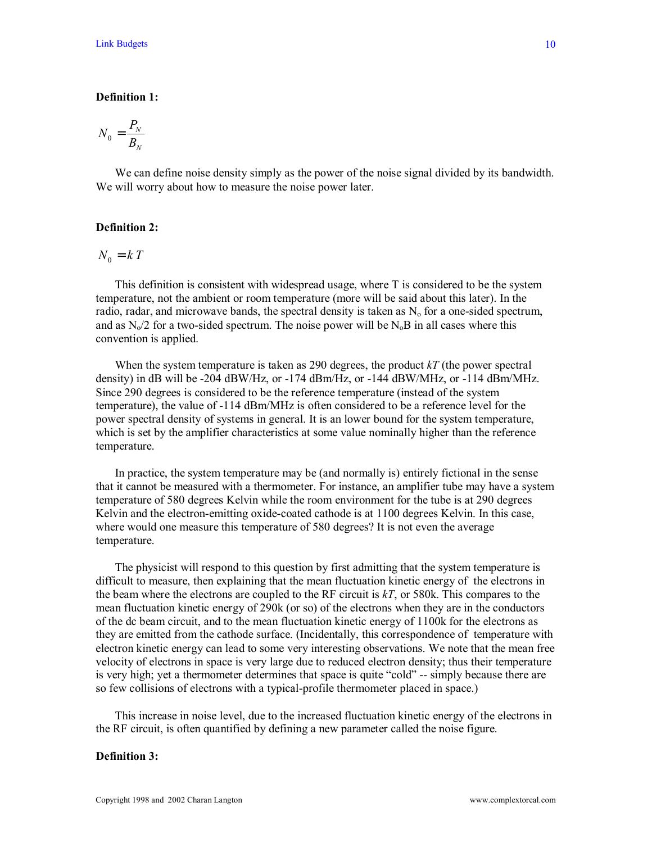### **Definition 1:**

$$
N_0=\frac{P_{\scriptscriptstyle N}}{B_{\scriptscriptstyle N}}
$$

We can define noise density simply as the power of the noise signal divided by its bandwidth. We will worry about how to measure the noise power later.

## **Definition 2:**

$$
N_0 = kT
$$

 This definition is consistent with widespread usage, where T is considered to be the system temperature, not the ambient or room temperature (more will be said about this later). In the radio, radar, and microwave bands, the spectral density is taken as  $N_0$  for a one-sided spectrum, and as  $N_0/2$  for a two-sided spectrum. The noise power will be  $N_0B$  in all cases where this convention is applied.

 When the system temperature is taken as 290 degrees, the product *kT* (the power spectral density) in dB will be -204 dBW/Hz, or -174 dBm/Hz, or -144 dBW/MHz, or -114 dBm/MHz. Since 290 degrees is considered to be the reference temperature (instead of the system temperature), the value of -114 dBm/MHz is often considered to be a reference level for the power spectral density of systems in general. It is an lower bound for the system temperature, which is set by the amplifier characteristics at some value nominally higher than the reference temperature.

 In practice, the system temperature may be (and normally is) entirely fictional in the sense that it cannot be measured with a thermometer. For instance, an amplifier tube may have a system temperature of 580 degrees Kelvin while the room environment for the tube is at 290 degrees Kelvin and the electron-emitting oxide-coated cathode is at 1100 degrees Kelvin. In this case, where would one measure this temperature of 580 degrees? It is not even the average temperature.

 The physicist will respond to this question by first admitting that the system temperature is difficult to measure, then explaining that the mean fluctuation kinetic energy of the electrons in the beam where the electrons are coupled to the RF circuit is *kT*, or 580k. This compares to the mean fluctuation kinetic energy of 290k (or so) of the electrons when they are in the conductors of the dc beam circuit, and to the mean fluctuation kinetic energy of 1100k for the electrons as they are emitted from the cathode surface. (Incidentally, this correspondence of temperature with electron kinetic energy can lead to some very interesting observations. We note that the mean free velocity of electrons in space is very large due to reduced electron density; thus their temperature is very high; yet a thermometer determines that space is quite "cold" -- simply because there are so few collisions of electrons with a typical-profile thermometer placed in space.)

 This increase in noise level, due to the increased fluctuation kinetic energy of the electrons in the RF circuit, is often quantified by defining a new parameter called the noise figure.

### **Definition 3:**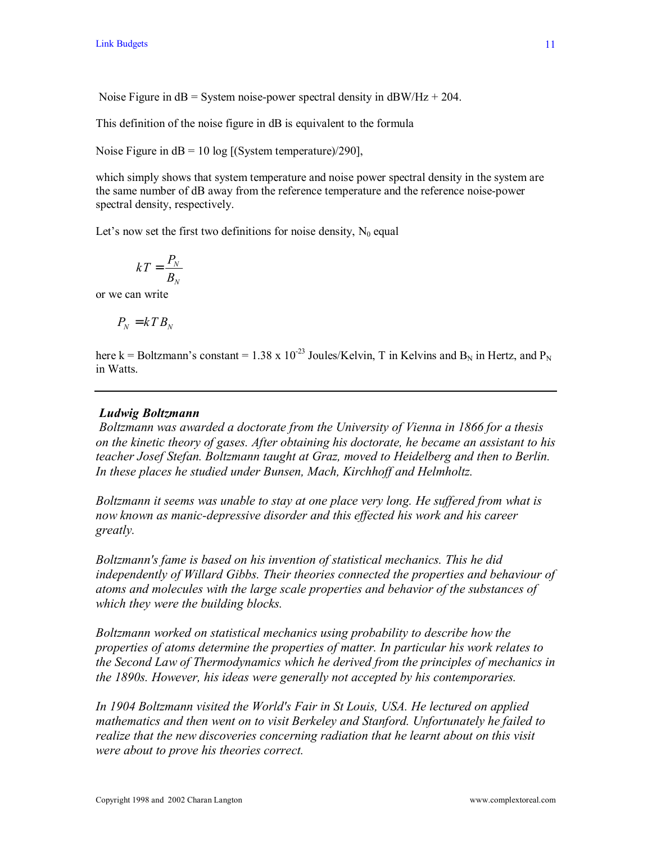Noise Figure in  $dB =$  System noise-power spectral density in  $dB$ W/Hz + 204.

This definition of the noise figure in dB is equivalent to the formula

Noise Figure in  $dB = 10 \log [(System temperature)/290]$ ,

which simply shows that system temperature and noise power spectral density in the system are the same number of dB away from the reference temperature and the reference noise-power spectral density, respectively.

Let's now set the first two definitions for noise density,  $N_0$  equal

$$
kT = \frac{P_{N}}{B_{N}}
$$

or we can write

$$
P_N = kT B_N
$$

here k = Boltzmann's constant = 1.38 x 10<sup>-23</sup> Joules/Kelvin, T in Kelvins and B<sub>N</sub> in Hertz, and P<sub>N</sub> in Watts.

# *Ludwig Boltzmann*

 *Boltzmann was awarded a doctorate from the University of Vienna in 1866 for a thesis on the kinetic theory of gases. After obtaining his doctorate, he became an assistant to his teacher Josef Stefan. Boltzmann taught at Graz, moved to Heidelberg and then to Berlin. In these places he studied under Bunsen, Mach, Kirchhoff and Helmholtz.* 

*Boltzmann it seems was unable to stay at one place very long. He suffered from what is now known as manic-depressive disorder and this effected his work and his career greatly.* 

*Boltzmann's fame is based on his invention of statistical mechanics. This he did independently of Willard Gibbs. Their theories connected the properties and behaviour of atoms and molecules with the large scale properties and behavior of the substances of which they were the building blocks.* 

*Boltzmann worked on statistical mechanics using probability to describe how the properties of atoms determine the properties of matter. In particular his work relates to the Second Law of Thermodynamics which he derived from the principles of mechanics in the 1890s. However, his ideas were generally not accepted by his contemporaries.* 

*In 1904 Boltzmann visited the World's Fair in St Louis, USA. He lectured on applied mathematics and then went on to visit Berkeley and Stanford. Unfortunately he failed to realize that the new discoveries concerning radiation that he learnt about on this visit were about to prove his theories correct.*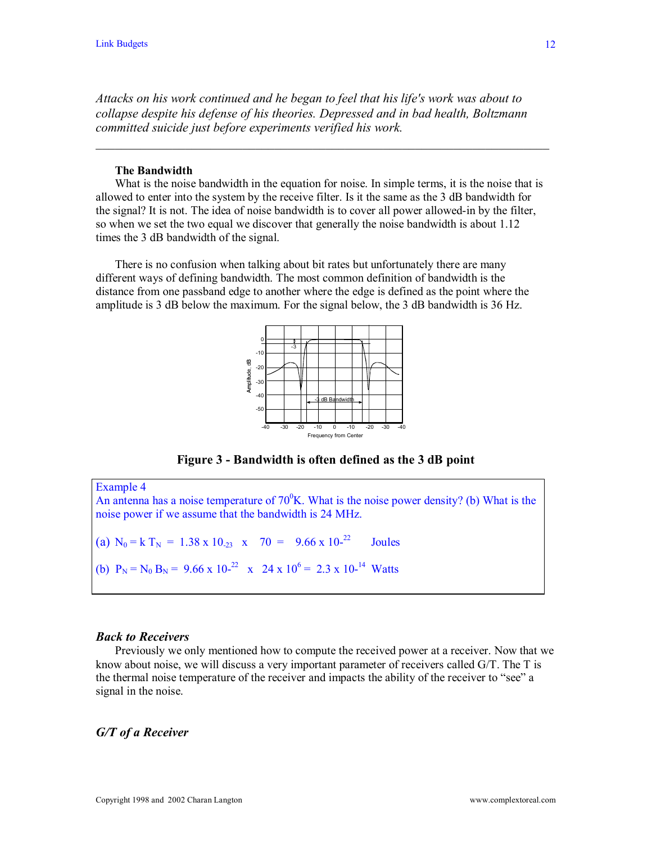*Attacks on his work continued and he began to feel that his life's work was about to collapse despite his defense of his theories. Depressed and in bad health, Boltzmann committed suicide just before experiments verified his work.*

 $\mathcal{L}_\mathcal{L} = \mathcal{L}_\mathcal{L} = \mathcal{L}_\mathcal{L} = \mathcal{L}_\mathcal{L} = \mathcal{L}_\mathcal{L} = \mathcal{L}_\mathcal{L} = \mathcal{L}_\mathcal{L} = \mathcal{L}_\mathcal{L} = \mathcal{L}_\mathcal{L} = \mathcal{L}_\mathcal{L} = \mathcal{L}_\mathcal{L} = \mathcal{L}_\mathcal{L} = \mathcal{L}_\mathcal{L} = \mathcal{L}_\mathcal{L} = \mathcal{L}_\mathcal{L} = \mathcal{L}_\mathcal{L} = \mathcal{L}_\mathcal{L}$ 

### **The Bandwidth**

 What is the noise bandwidth in the equation for noise. In simple terms, it is the noise that is allowed to enter into the system by the receive filter. Is it the same as the 3 dB bandwidth for the signal? It is not. The idea of noise bandwidth is to cover all power allowed-in by the filter, so when we set the two equal we discover that generally the noise bandwidth is about 1.12 times the 3 dB bandwidth of the signal.

 There is no confusion when talking about bit rates but unfortunately there are many different ways of defining bandwidth. The most common definition of bandwidth is the distance from one passband edge to another where the edge is defined as the point where the amplitude is 3 dB below the maximum. For the signal below, the 3 dB bandwidth is 36 Hz.



**Figure 3 - Bandwidth is often defined as the 3 dB point**

Example 4 An antenna has a noise temperature of  $70^{\circ}$ K. What is the noise power density? (b) What is the noise power if we assume that the bandwidth is 24 MHz. (a)  $N_0 = k T_N = 1.38 \times 10^{3}$  x  $70 = 9.66 \times 10^{-22}$  Joules (b)  $P_N = N_0 B_N = 9.66 \times 10^{-22} \times 24 \times 10^6 = 2.3 \times 10^{-14}$  Watts

#### *Back to Receivers*

 Previously we only mentioned how to compute the received power at a receiver. Now that we know about noise, we will discuss a very important parameter of receivers called G/T. The T is the thermal noise temperature of the receiver and impacts the ability of the receiver to "see" a signal in the noise.

# *G/T of a Receiver*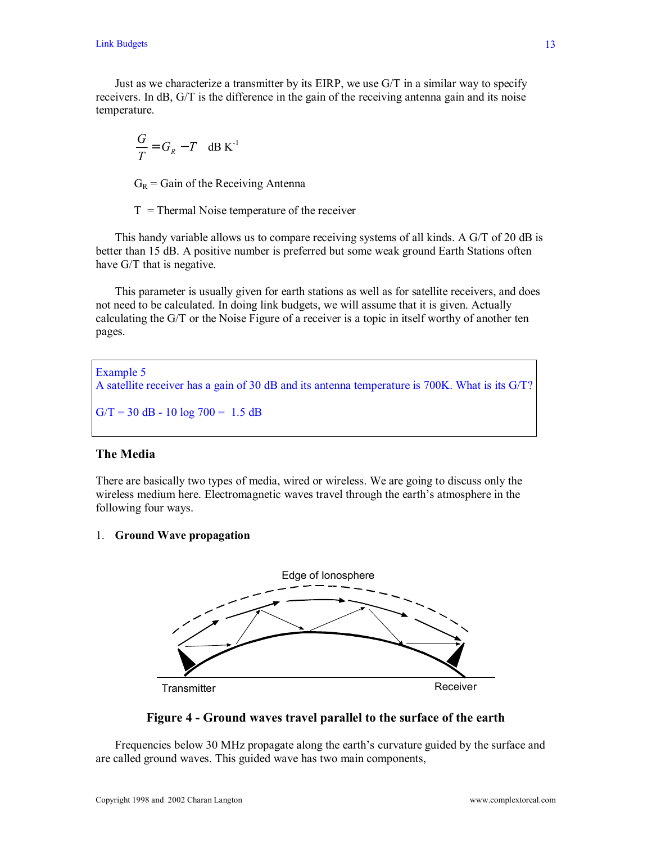Just as we characterize a transmitter by its EIRP, we use G/T in a similar way to specify receivers. In dB, G/T is the difference in the gain of the receiving antenna gain and its noise temperature.

$$
\frac{G}{T} = G_R - T \quad \text{dB K}^{-1}
$$

 $G_R$  = Gain of the Receiving Antenna

 $T =$ Thermal Noise temperature of the receiver

This handy variable allows us to compare receiving systems of all kinds. A G/T of 20 dB is better than 15 dB. A positive number is preferred but some weak ground Earth Stations often have G/T that is negative.

 This parameter is usually given for earth stations as well as for satellite receivers, and does not need to be calculated. In doing link budgets, we will assume that it is given. Actually calculating the G/T or the Noise Figure of a receiver is a topic in itself worthy of another ten pages.

Example 5 A satellite receiver has a gain of 30 dB and its antenna temperature is 700K. What is its G/T?  $G/T = 30$  dB - 10 log  $700 = 1.5$  dB

# **The Media**

There are basically two types of media, wired or wireless. We are going to discuss only the wireless medium here. Electromagnetic waves travel through the earth's atmosphere in the following four ways.

# 1. **Ground Wave propagation**



**Figure 4 - Ground waves travel parallel to the surface of the earth** 

Frequencies below 30 MHz propagate along the earth's curvature guided by the surface and are called ground waves. This guided wave has two main components,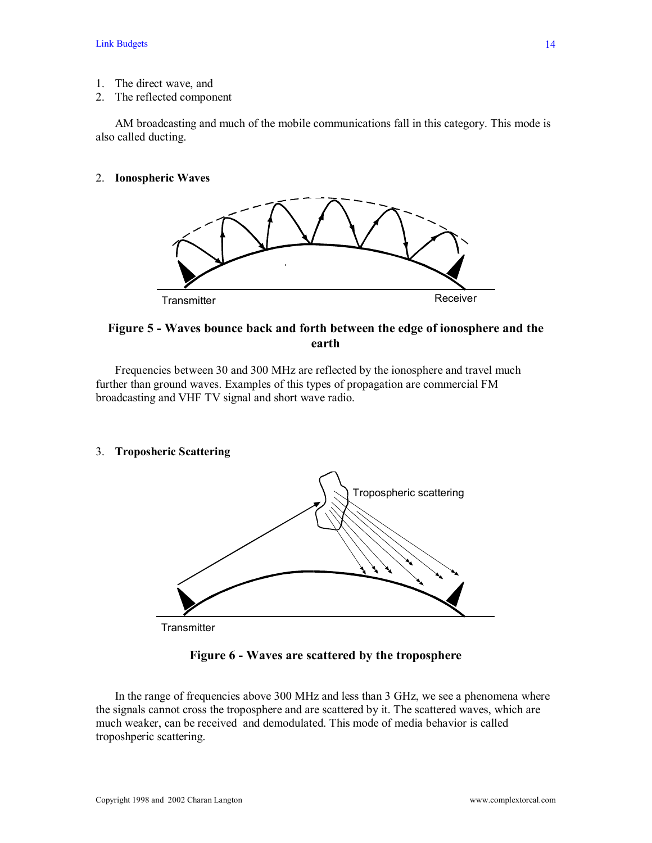- 1. The direct wave, and
- 2. The reflected component

 AM broadcasting and much of the mobile communications fall in this category. This mode is also called ducting.

# 2. **Ionospheric Waves**



# **Figure 5 - Waves bounce back and forth between the edge of ionosphere and the earth**

 Frequencies between 30 and 300 MHz are reflected by the ionosphere and travel much further than ground waves. Examples of this types of propagation are commercial FM broadcasting and VHF TV signal and short wave radio.

3. **Troposheric Scattering** 



**Transmitter** 

# **Figure 6 - Waves are scattered by the troposphere**

 In the range of frequencies above 300 MHz and less than 3 GHz, we see a phenomena where the signals cannot cross the troposphere and are scattered by it. The scattered waves, which are much weaker, can be received and demodulated. This mode of media behavior is called troposhperic scattering.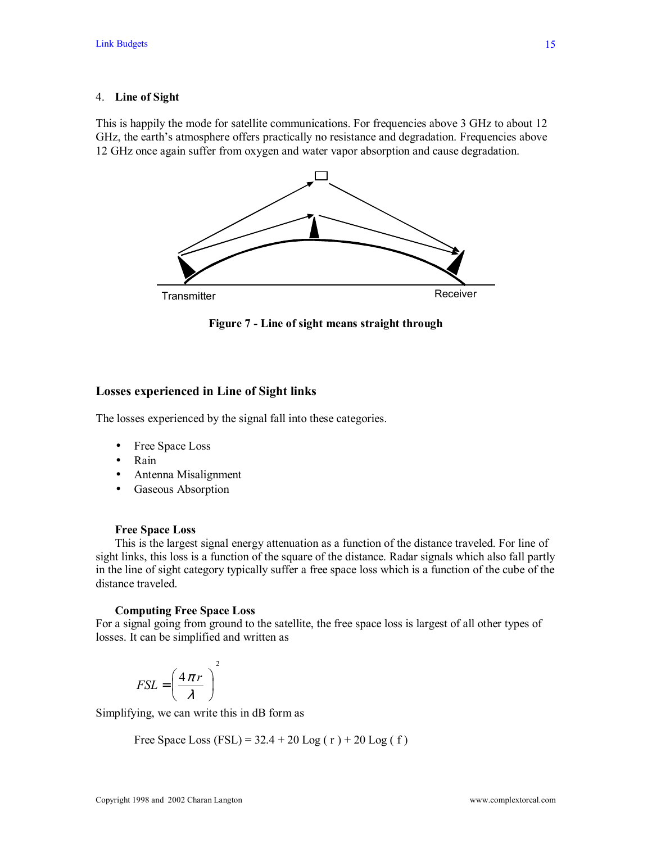#### 4. **Line of Sight**

This is happily the mode for satellite communications. For frequencies above 3 GHz to about 12 GHz, the earth's atmosphere offers practically no resistance and degradation. Frequencies above 12 GHz once again suffer from oxygen and water vapor absorption and cause degradation.



**Figure 7 - Line of sight means straight through** 

### **Losses experienced in Line of Sight links**

The losses experienced by the signal fall into these categories.

- Free Space Loss
- Rain
- Antenna Misalignment
- Gaseous Absorption

#### **Free Space Loss**

 This is the largest signal energy attenuation as a function of the distance traveled. For line of sight links, this loss is a function of the square of the distance. Radar signals which also fall partly in the line of sight category typically suffer a free space loss which is a function of the cube of the distance traveled.

#### **Computing Free Space Loss**

For a signal going from ground to the satellite, the free space loss is largest of all other types of losses. It can be simplified and written as

$$
FSL = \left(\frac{4\pi r}{\lambda}\right)^2
$$

Simplifying, we can write this in dB form as

Free Space Loss (FSL) =  $32.4 + 20$  Log (r) + 20 Log (f)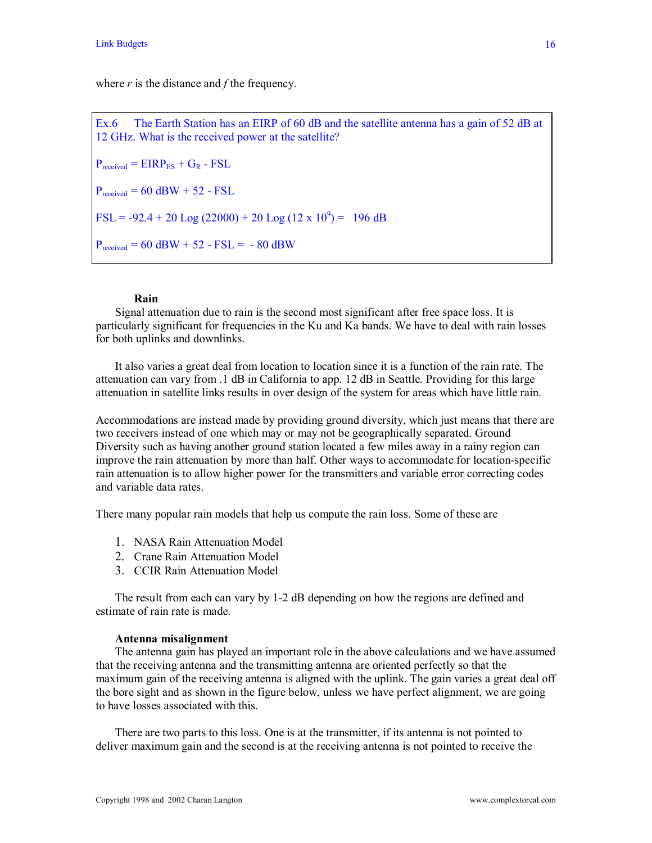where *r* is the distance and *f* the frequency.

Ex.6 The Earth Station has an EIRP of 60 dB and the satellite antenna has a gain of 52 dB at 12 GHz. What is the received power at the satellite?  $P_{received} = EIRP_{ES} + G_R - FSL$  $P_{received} = 60$  dBW + 52 - FSL FSL = -92.4 + 20 Log (22000) + 20 Log (12 x 10<sup>9</sup>) = 196 dB  $P_{received} = 60$  dBW + 52 - FSL = - 80 dBW

### **Rain**

Signal attenuation due to rain is the second most significant after free space loss. It is particularly significant for frequencies in the Ku and Ka bands. We have to deal with rain losses for both uplinks and downlinks.

 It also varies a great deal from location to location since it is a function of the rain rate. The attenuation can vary from .1 dB in California to app. 12 dB in Seattle. Providing for this large attenuation in satellite links results in over design of the system for areas which have little rain.

Accommodations are instead made by providing ground diversity, which just means that there are two receivers instead of one which may or may not be geographically separated. Ground Diversity such as having another ground station located a few miles away in a rainy region can improve the rain attenuation by more than half. Other ways to accommodate for location-specific rain attenuation is to allow higher power for the transmitters and variable error correcting codes and variable data rates.

There many popular rain models that help us compute the rain loss. Some of these are

- 1. NASA Rain Attenuation Model
- 2. Crane Rain Attenuation Model
- 3. CCIR Rain Attenuation Model

 The result from each can vary by 1-2 dB depending on how the regions are defined and estimate of rain rate is made.

#### **Antenna misalignment**

 The antenna gain has played an important role in the above calculations and we have assumed that the receiving antenna and the transmitting antenna are oriented perfectly so that the maximum gain of the receiving antenna is aligned with the uplink. The gain varies a great deal off the bore sight and as shown in the figure below, unless we have perfect alignment, we are going to have losses associated with this.

 There are two parts to this loss. One is at the transmitter, if its antenna is not pointed to deliver maximum gain and the second is at the receiving antenna is not pointed to receive the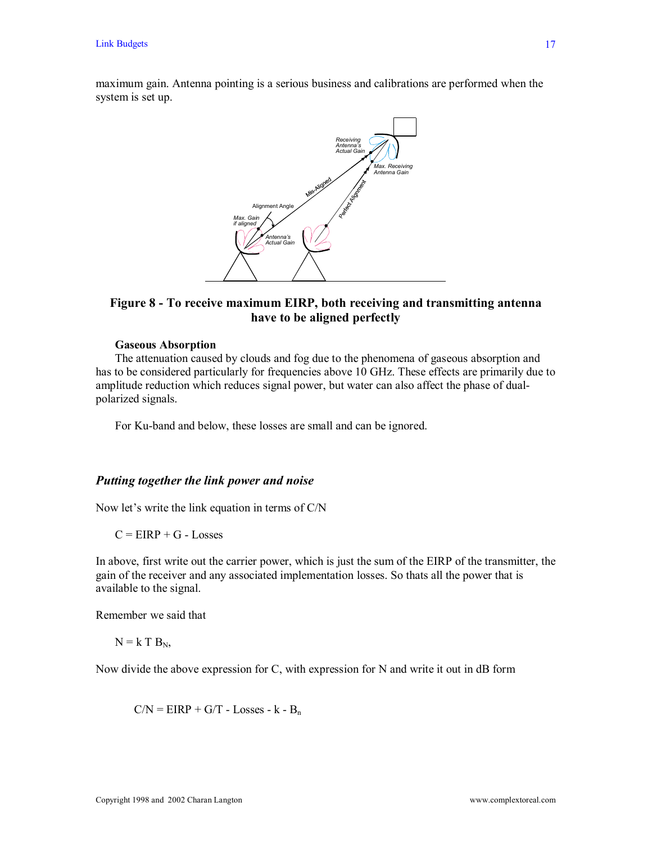maximum gain. Antenna pointing is a serious business and calibrations are performed when the system is set up.



# **Figure 8 - To receive maximum EIRP, both receiving and transmitting antenna have to be aligned perfectly**

### **Gaseous Absorption**

 The attenuation caused by clouds and fog due to the phenomena of gaseous absorption and has to be considered particularly for frequencies above 10 GHz. These effects are primarily due to amplitude reduction which reduces signal power, but water can also affect the phase of dualpolarized signals.

For Ku-band and below, these losses are small and can be ignored.

# *Putting together the link power and noise*

Now let's write the link equation in terms of  $C/N$ 

 $C = EIRP + G - Losses$ 

In above, first write out the carrier power, which is just the sum of the EIRP of the transmitter, the gain of the receiver and any associated implementation losses. So thats all the power that is available to the signal.

Remember we said that

 $N = k T B_N$ ,

Now divide the above expression for C, with expression for N and write it out in dB form

 $C/N = EIRP + G/T - Losses - k - B<sub>n</sub>$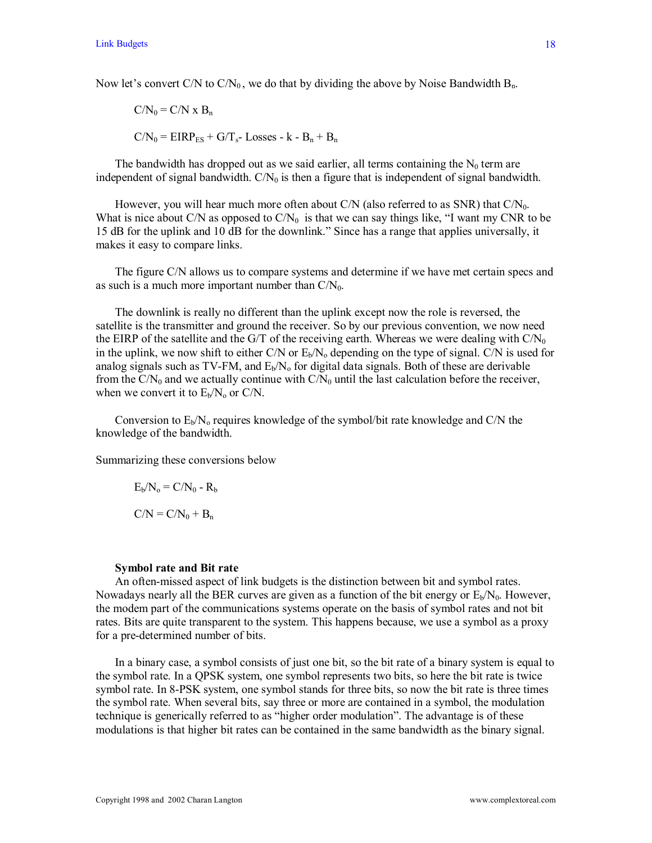Now let's convert C/N to  $C/N_0$ , we do that by dividing the above by Noise Bandwidth  $B_n$ .

$$
C/N_0 = C/N \times B_n
$$
  

$$
C/N_0 = EIRP_{ES} + G/T_{s}
$$
- Losses - k - B<sub>n</sub> + B<sub>n</sub>

The bandwidth has dropped out as we said earlier, all terms containing the  $N_0$  term are independent of signal bandwidth.  $C/N_0$  is then a figure that is independent of signal bandwidth.

However, you will hear much more often about C/N (also referred to as SNR) that  $C/N_0$ . What is nice about C/N as opposed to  $C/N_0$  is that we can say things like, "I want my CNR to be 15 dB for the uplink and 10 dB for the downlink." Since has a range that applies universally, it makes it easy to compare links.

 The figure C/N allows us to compare systems and determine if we have met certain specs and as such is a much more important number than  $C/N_0$ .

 The downlink is really no different than the uplink except now the role is reversed, the satellite is the transmitter and ground the receiver. So by our previous convention, we now need the EIRP of the satellite and the G/T of the receiving earth. Whereas we were dealing with  $C/N_0$ in the uplink, we now shift to either C/N or  $E_b/N_0$  depending on the type of signal. C/N is used for analog signals such as TV-FM, and  $E<sub>b</sub>/N<sub>o</sub>$  for digital data signals. Both of these are derivable from the  $C/N_0$  and we actually continue with  $C/N_0$  until the last calculation before the receiver, when we convert it to  $E_b/N_o$  or C/N.

Conversion to  $E_b/N_o$  requires knowledge of the symbol/bit rate knowledge and C/N the knowledge of the bandwidth.

Summarizing these conversions below

$$
E_b/N_o = C/N_0 - R_b
$$
  

$$
C/N = C/N_0 + B_n
$$

#### **Symbol rate and Bit rate**

 An often-missed aspect of link budgets is the distinction between bit and symbol rates. Nowadays nearly all the BER curves are given as a function of the bit energy or  $E<sub>b</sub>/N<sub>0</sub>$ . However, the modem part of the communications systems operate on the basis of symbol rates and not bit rates. Bits are quite transparent to the system. This happens because, we use a symbol as a proxy for a pre-determined number of bits.

 In a binary case, a symbol consists of just one bit, so the bit rate of a binary system is equal to the symbol rate. In a QPSK system, one symbol represents two bits, so here the bit rate is twice symbol rate. In 8-PSK system, one symbol stands for three bits, so now the bit rate is three times the symbol rate. When several bits, say three or more are contained in a symbol, the modulation technique is generically referred to as "higher order modulation". The advantage is of these modulations is that higher bit rates can be contained in the same bandwidth as the binary signal.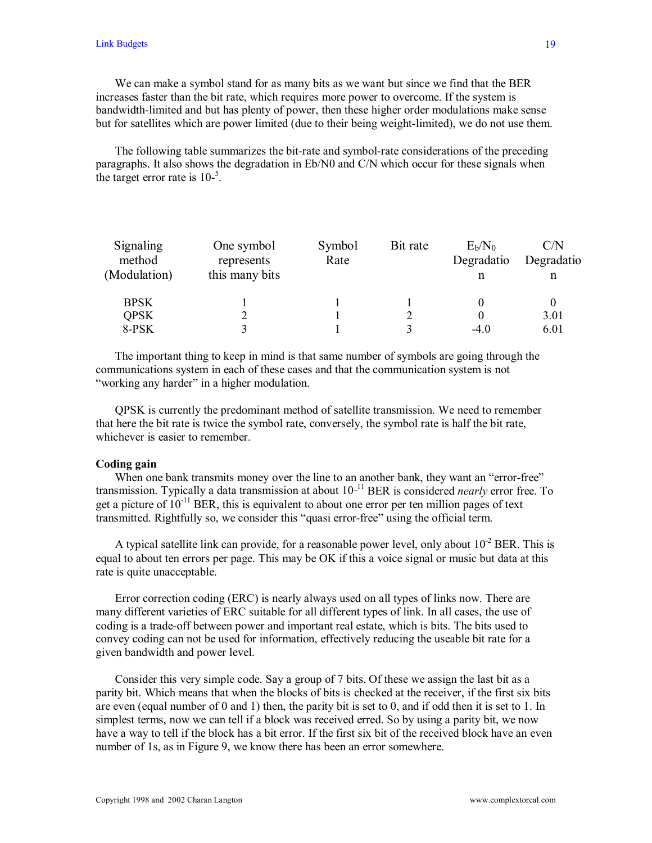We can make a symbol stand for as many bits as we want but since we find that the BER increases faster than the bit rate, which requires more power to overcome. If the system is bandwidth-limited and but has plenty of power, then these higher order modulations make sense but for satellites which are power limited (due to their being weight-limited), we do not use them.

 The following table summarizes the bit-rate and symbol-rate considerations of the preceding paragraphs. It also shows the degradation in Eb/N0 and C/N which occur for these signals when the target error rate is  $10^{-5}$ .

| Signaling    | One symbol     | Symbol | Bit rate | $E_b/N_0$  | C/N        |
|--------------|----------------|--------|----------|------------|------------|
| method       | represents     | Rate   |          | Degradatio | Degradatio |
| (Modulation) | this many bits |        |          |            | n          |
| <b>BPSK</b>  |                |        |          |            |            |
| <b>QPSK</b>  |                |        |          |            | 3.01       |
| 8-PSK        |                |        |          | $-4.0$     | 6.01       |

 The important thing to keep in mind is that same number of symbols are going through the communications system in each of these cases and that the communication system is not "working any harder" in a higher modulation.

 QPSK is currently the predominant method of satellite transmission. We need to remember that here the bit rate is twice the symbol rate, conversely, the symbol rate is half the bit rate, whichever is easier to remember.

### **Coding gain**

When one bank transmits money over the line to an another bank, they want an "error-free" transmission. Typically a data transmission at about 10\_11 BER is considered *nearly* error free. To get a picture of  $10^{-11}$  BER, this is equivalent to about one error per ten million pages of text transmitted. Rightfully so, we consider this "quasi error-free" using the official term.

A typical satellite link can provide, for a reasonable power level, only about  $10^{-2}$  BER. This is equal to about ten errors per page. This may be OK if this a voice signal or music but data at this rate is quite unacceptable.

 Error correction coding (ERC) is nearly always used on all types of links now. There are many different varieties of ERC suitable for all different types of link. In all cases, the use of coding is a trade-off between power and important real estate, which is bits. The bits used to convey coding can not be used for information, effectively reducing the useable bit rate for a given bandwidth and power level.

 Consider this very simple code. Say a group of 7 bits. Of these we assign the last bit as a parity bit. Which means that when the blocks of bits is checked at the receiver, if the first six bits are even (equal number of 0 and 1) then, the parity bit is set to 0, and if odd then it is set to 1. In simplest terms, now we can tell if a block was received erred. So by using a parity bit, we now have a way to tell if the block has a bit error. If the first six bit of the received block have an even number of 1s, as in Figure 9, we know there has been an error somewhere.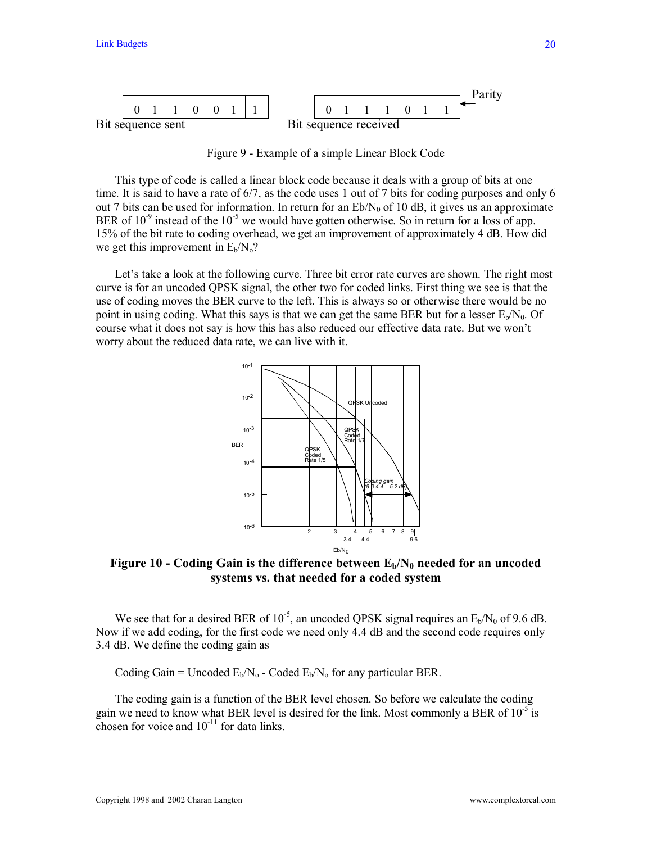

Figure 9 - Example of a simple Linear Block Code

 This type of code is called a linear block code because it deals with a group of bits at one time. It is said to have a rate of 6/7, as the code uses 1 out of 7 bits for coding purposes and only 6 out 7 bits can be used for information. In return for an  $Eb/N_0$  of 10 dB, it gives us an approximate BER of  $10^{-9}$  instead of the  $10^{-5}$  we would have gotten otherwise. So in return for a loss of app. 15% of the bit rate to coding overhead, we get an improvement of approximately 4 dB. How did we get this improvement in  $E_b/N_o$ ?

Let's take a look at the following curve. Three bit error rate curves are shown. The right most curve is for an uncoded QPSK signal, the other two for coded links. First thing we see is that the use of coding moves the BER curve to the left. This is always so or otherwise there would be no point in using coding. What this says is that we can get the same BER but for a lesser  $E_b/N_0$ . Of course what it does not say is how this has also reduced our effective data rate. But we won't worry about the reduced data rate, we can live with it.



**Figure 10 - Coding Gain is the difference between**  $E_b/N_0$  **needed for an uncoded systems vs. that needed for a coded system** 

We see that for a desired BER of  $10^{-5}$ , an uncoded QPSK signal requires an  $E_b/N_0$  of 9.6 dB. Now if we add coding, for the first code we need only 4.4 dB and the second code requires only 3.4 dB. We define the coding gain as

Coding Gain = Uncoded  $E_b/N_o$  - Coded  $E_b/N_o$  for any particular BER.

 The coding gain is a function of the BER level chosen. So before we calculate the coding gain we need to know what BER level is desired for the link. Most commonly a BER of  $10^{-5}$  is chosen for voice and  $10^{-11}$  for data links.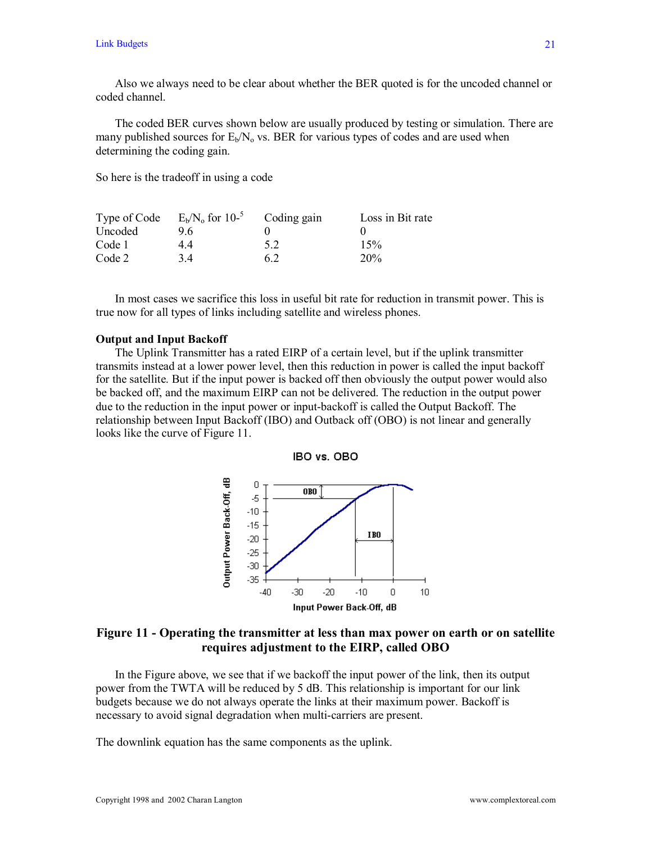Also we always need to be clear about whether the BER quoted is for the uncoded channel or coded channel.

 The coded BER curves shown below are usually produced by testing or simulation. There are many published sources for  $E_b/N_o$  vs. BER for various types of codes and are used when determining the coding gain.

So here is the tradeoff in using a code

| Type of Code | $E_b/N_o$ for 10- <sup>5</sup> | Coding gain | Loss in Bit rate |
|--------------|--------------------------------|-------------|------------------|
| Uncoded      | 96                             |             |                  |
| Code 1       | 44                             | 52          | 15%              |
| Code 2       | 34                             | 62          | 20%              |

 In most cases we sacrifice this loss in useful bit rate for reduction in transmit power. This is true now for all types of links including satellite and wireless phones.

### **Output and Input Backoff**

 The Uplink Transmitter has a rated EIRP of a certain level, but if the uplink transmitter transmits instead at a lower power level, then this reduction in power is called the input backoff for the satellite. But if the input power is backed off then obviously the output power would also be backed off, and the maximum EIRP can not be delivered. The reduction in the output power due to the reduction in the input power or input-backoff is called the Output Backoff. The relationship between Input Backoff (IBO) and Outback off (OBO) is not linear and generally looks like the curve of Figure 11.



# **Figure 11 - Operating the transmitter at less than max power on earth or on satellite requires adjustment to the EIRP, called OBO**

 In the Figure above, we see that if we backoff the input power of the link, then its output power from the TWTA will be reduced by 5 dB. This relationship is important for our link budgets because we do not always operate the links at their maximum power. Backoff is necessary to avoid signal degradation when multi-carriers are present.

The downlink equation has the same components as the uplink.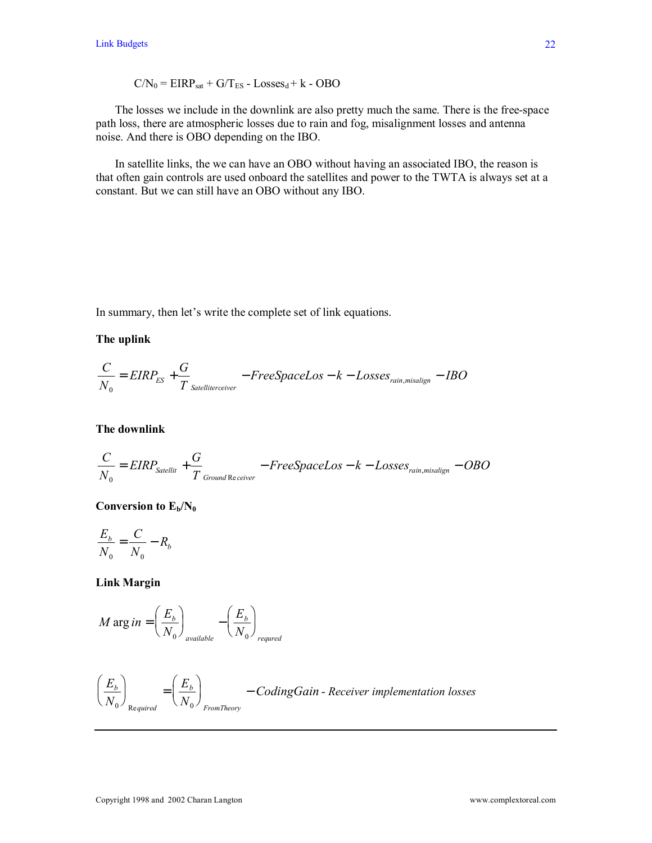$$
C/N_0 = EIRP_{sat} + G/T_{ES} - Losses_d + k - OBO
$$

 The losses we include in the downlink are also pretty much the same. There is the free-space path loss, there are atmospheric losses due to rain and fog, misalignment losses and antenna noise. And there is OBO depending on the IBO.

 In satellite links, the we can have an OBO without having an associated IBO, the reason is that often gain controls are used onboard the satellites and power to the TWTA is always set at a constant. But we can still have an OBO without any IBO.

In summary, then let's write the complete set of link equations.

### **The uplink**

$$
\frac{C}{N_0} = EIRP_{ES} + \frac{G}{T_{\text{Satellite receiver}}} - FreeSpaceLos - k - Losses_{\text{rain, misalign}} - IBO
$$

**The downlink**

$$
\frac{C}{N_0} = EIRP_{\text{Satelli}t} + \frac{G}{T_{\text{Ground Receiver}}} - FreeSpaceLos - k - Losses_{\text{rain,misalign}} - OBO
$$

# Conversion to  $E_b/N_0$

$$
\frac{E_b}{N_0} = \frac{C}{N_0} - R_b
$$

**Link Margin** 

$$
M \arg in = \left(\frac{E_b}{N_0}\right)_{available} - \left(\frac{E_b}{N_0}\right)_{required}
$$

$$
\left(\frac{E_b}{N_0}\right)_{\text{Required}} = \left(\frac{E_b}{N_0}\right)_{\text{From Theory}} - CodingGain - Receiver implementation losses
$$